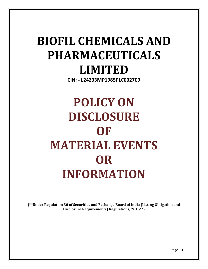# **BIOFIL CHEMICALS AND PHARMACEUTICALS LIMITED**

**CIN: - L24233MP1985PLC002709**

**POLICY ON DISCLOSURE OF MATERIAL EVENTS OR INFORMATION**

**(\*\*Under Regulation 30 of Securities and Exchange Board of India (Listing Obligation and Disclosure Requirements) Regulations, 2015\*\*)**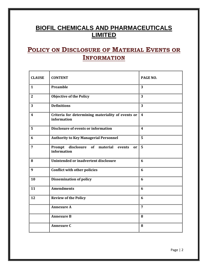# **BIOFIL CHEMICALS AND PHARMACEUTICALS LIMITED**

# **POLICY ON DISCLOSURE OF MATERIAL EVENTS OR INFORMATION**

| <b>CLAUSE</b>  | <b>CONTENT</b>                                                        | PAGE NO.                |
|----------------|-----------------------------------------------------------------------|-------------------------|
| $\mathbf{1}$   | <b>Preamble</b>                                                       | 3                       |
| $\mathbf{2}$   | <b>Objective of the Policy</b>                                        | 3                       |
| 3              | <b>Definitions</b>                                                    | 3                       |
| 4              | Criteria for determining materiality of events or<br>information      | $\overline{\mathbf{4}}$ |
| 5              | <b>Disclosure of events or information</b>                            | $\boldsymbol{4}$        |
| 6              | <b>Authority to Key Managerial Personnel</b>                          | 5                       |
| $\overline{7}$ | Prompt<br>disclosure<br>of<br>material<br>events<br>or<br>information | 5                       |
| 8              | Unintended or inadvertent disclosure                                  | 6                       |
| 9              | <b>Conflict with other policies</b>                                   | 6                       |
| 10             | <b>Dissemination of policy</b>                                        | 6                       |
| 11             | <b>Amendments</b>                                                     | 6                       |
| 12             | <b>Review of the Policy</b>                                           | 6                       |
|                | <b>Annexure A</b>                                                     | 7                       |
|                | <b>Annexure B</b>                                                     | 8                       |
|                | <b>Annexure C</b>                                                     | 8                       |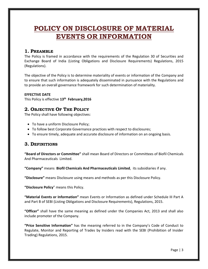# **POLICY ON DISCLOSURE OF MATERIAL EVENTS OR INFORMATION**

# **1. PREAMBLE**

The Policy is framed in accordance with the requirements of the Regulation 30 of Securities and Exchange Board of India (Listing Obligations and Disclosure Requirements) Regulations, 2015 (Regulations).

The objective of the Policy is to determine materiality of events or information of the Company and to ensure that such information is adequately disseminated in pursuance with the Regulations and to provide an overall governance framework for such determination of materiality.

#### **EFFECTIVE DATE**

This Policy is effective **13th February,2016**

# **2. OBJECTIVE OF THE POLICY**

The Policy shall have following objectives:

- To have a uniform Disclosure Policy;
- To follow best Corporate Governance practices with respect to disclosures;
- To ensure timely, adequate and accurate disclosure of information on an ongoing basis.

# **3. DEFINITIONS**

**"Board of Directors or Committee"** shall mean Board of Directors or Committees of Biofil Chemicals And Pharmaceuticals Limited.

**"Company"** means **Biofil Chemicals And Pharmaceuticals Limited**, its subsidiaries if any.

**"Disclosure"** means Disclosure using means and methods as per this Disclosure Policy.

**"Disclosure Policy**" means this Policy.

**"Material Events or Information"** mean Events or Information as defined under Schedule III Part A and Part B of SEBI (Listing Obligations and Disclosure Requirements), Regulations, 2015.

**"Officer"** shall have the same meaning as defined under the Companies Act, 2013 and shall also include promoter of the Company.

**"Price Sensitive Information"** has the meaning referred to in the Company's Code of Conduct to Regulate, Monitor and Reporting of Trades by Insiders read with the SEBI (Prohibition of Insider Trading) Regulations, 2015.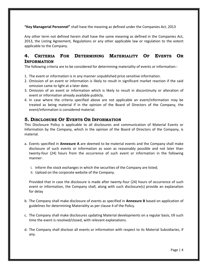**"Key Managerial Personnel"** shall have the meaning as defined under the Companies Act, 2013

Any other term not defined herein shall have the same meaning as defined in the Companies Act, 2013, the Listing Agreement, Regulations or any other applicable law or regulation to the extent applicable to the Company.

# **4. CRITERIA FOR DETERMINING MATERIALITY OF EVENTS OR INFORMATION**

The following criteria are to be considered for determining materiality of events or information:-

- 1. The event or information is in any manner unpublished price sensitive information.
- 2. Omission of an event or information is likely to result in significant market reaction if the said omission came to light at a later date.
- 3. Omission of an event or information which is likely to result in discontinuity or alteration of event or information already available publicly.
- 4. In case where the criteria specified above are not applicable an event/information may be treated as being material if in the opinion of the Board of Directors of the Company, the event/information is considered material.

## **5. DISCLOSURE OF EVENTS OR INFORMATION**

This Disclosure Policy is applicable to all disclosures and communication of Material Events or Information by the Company, which in the opinion of the Board of Directors of the Company, is material.

- a. Events specified in **Annexure A** are deemed to be material events and the Company shall make disclosure of such events or information as soon as reasonably possible and not later than twenty-four (24) hours from the occurrence of such event or information in the following manner:
	- i. Inform the stock exchanges in which the securities of the Company are listed;
	- ii. Upload on the corporate website of the Company.

Provided that in case the disclosure is made after twenty-four (24) hours of occurrence of such event or information, the Company shall, along with such disclosure(s) provide an explanation for delay

- b. The Company shall make disclosure of events as specified in **Annexure B** based on application of guidelines for determining Materiality as per clause 4 of the Policy.
- c. The Company shall make disclosures updating Material developments on a regular basis, till such time the event is resolved/closed, with relevant explanations.
- d. The Company shall disclose all events or information with respect to its Material Subsidiaries, if any.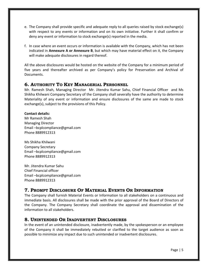- e. The Company shall provide specific and adequate reply to all queries raised by stock exchange(s) with respect to any events or information and on its own initiative. Further it shall confirm or deny any event or information to stock exchange(s) reported in the media.
- f. In case where an event occurs or information is available with the Company, which has not been indicated in **Annexure A or Annexure B**, but which may have material effect on it, the Company will make adequate disclosures in regard thereof.

All the above disclosures would be hosted on the website of the Company for a minimum period of five years and thereafter archived as per Company's policy for Preservation and Archival of Documents.

# **6. AUTHORITY TO KEY MANAGERIAL PERSONNEL**

Mr. Ramesh Shah, Managing Director Mr. Jitendra Kumar Sahu, Chief Financial Officer and Ms Shikha Khilwani Company Secretary of the Company shall severally have the authority to determine Materiality of any event or information and ensure disclosures of the same are made to stock exchange(s), subject to the provisions of this Policy.

#### **Contact details:**

Mr Ramesh Shah Managing Director Email –bcplcompliance@gmail.com Phone 8889912313

Ms Shikha Khilwani Company Secretary Email –bcplcompliance@gmail.com Phone 8889912313

Mr. Jitendra Kumar Sahu Chief Financial officer Email –bcplcompliance@gmail.com Phone 8889912313

# **7. PROMPT DISCLOSURE OF MATERIAL EVENTS OR INFORMATION**

The Company shall furnish Material Events or Information to all stakeholders on a continuous and immediate basis. All disclosures shall be made with the prior approval of the Board of Directors of the Company. The Company Secretary shall coordinate the approval and dissemination of the information to all stakeholders.

# **8. UNINTENDED OR INADVERTENT DISCLOSURES**

In the event of an unintended disclosure, inadvertently made, by the spokesperson or an employee of the Company it shall be immediately rebutted or clarified to the target audience as soon as possible to minimize any impact due to such unintended or inadvertent disclosures.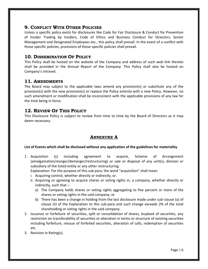# **9. CONFLICT WITH OTHER POLICIES**

Unless a specific policy exists for disclosures like Code for Fair Disclosure & Conduct for Prevention of Insider Trading by Insiders, Code of Ethics and Business Conduct for Directors, Senior Management and Designated Employees etc., this policy shall prevail. In the event of a conflict with those specific policies, provisions of those specific policies shall prevail.

# **10. DISSEMINATION OF POLICY**

This Policy shall be hosted on the website of the Company and address of such web link thereto shall be provided in the Annual Report of the Company. This Policy shall also be hosted on Company's intranet.

## **11. AMENDMENTS**

The Board may subject to the applicable laws amend any provision(s) or substitute any of the provision(s) with the new provision(s) or replace the Policy entirely with a new Policy. However, no such amendment or modification shall be inconsistent with the applicable provisions of any law for the time being in force.

# **12. REVIEW OF THIS POLICY**

This Disclosure Policy is subject to review from time to time by the Board of Directors as it may deem necessary.

# **ANNEXURE A**

#### **List of Events which shall be disclosed without any application of the guidelines for materiality**

1. Acquisition (s) including agreement to acquire, Scheme of Arrangement (amalgamation/merger/demerger/restructuring) or sale or disposal of any unit(s), division or subsidiary of the listed entity or any other restructuring.

Explanation: For the purpose of this sub para, the word "acquisition" shall mean

- i. Acquiring control, whether directly or indirectly, or.
- ii. Acquiring or agreeing to acquire shares or voting rights in, a company, whether directly or indirectly, such that –
	- a) The Company holds shares or voting rights aggregating to five percent or more of the shares or voting rights in the said company; or
	- b) There has been a change in holding from the last disclosure made under sub-clause (a) of clause (ii) of the Explanation to this sub-para and such change exceeds 2% of the total shareholding or voting rights in the said company.
- 2. Issuance or forfeiture of securities, split or consolidation of shares, buyback of securities, any restriction on transferability of securities or alteration in terms or structure of existing securities including forfeiture, reissue of forfeited securities, alteration of calls, redemption of securities etc.
- 3. Revision in Rating(s).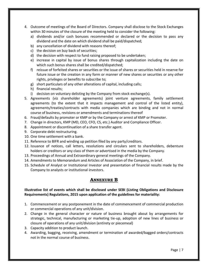- 4. Outcome of meetings of the Board of Directors. Company shall disclose to the Stock Exchanges within 30 minutes of the closure of the meeting held to consider the following:
	- a) dividends and/or cash bonuses recommended or declared or the decision to pass any dividend and the date on which dividend shall be paid/dispatched;
	- b) any cancellation of dividend with reasons thereof;
	- c) the decision on buy back of securities;
	- d) the decision with respect to fund raising proposed to be undertaken;
	- e) increase in capital by issue of bonus shares through capitalization including the date on which such bonus shares shall be credited/dispatched;
	- f) reissue of forfeited shares or securities or the issue of shares or securities held in reserve for future issue or the creation in any form or manner of new shares or securities or any other rights, privileges or benefits to subscribe to;
	- g) short particulars of any other alterations of capital, including calls;
	- h) financial results;
	- i) decision on voluntary delisting by the Company from stock exchange(s).
- 5. Agreements (viz shareholder agreements) joint venture agreements, family settlement agreements (to the extent that it impacts management and control of the listed entity), agreements/treaties/contracts with media companies which are binding and not in normal course of business, revisions or amendments and terminations thereof
- 6. Fraud/defaults by promoter or KMP or by the Company or arrest of KMP or Promoter.
- 7. Change in directors, KMP (MD, CEO, CFO, CS, etc.) Auditor and Compliance Officer.
- 8. Appointment or discontinuation of a share transfer agent.
- 9. Corporate debt restructuring.
- 10. One time settlement with a bank.
- 11. Reference to BIFR and winding up petition filed by any party/creditors.
- 12. Issuance of notices, call letters, resolutions and circulars sent to shareholders, debenture holders or creditors or any class of them or advertised in the media by the Company.
- 13. Proceedings of Annual and Extraordinary general meetings of the Company.
- 14. Amendments to Memorandum and Articles of Association of the Company, in brief.
- 15. Schedule of Analyst or Institutional Investor and presentation of financial results made by the Company to analysts or institutional investors.

# **ANNEXURE B**

#### **Illustrative list of events which shall be disclosed under SEBI (Listing Obligations and Disclosure Requirements) Regulations, 2015 upon application of the guidelines for materiality:**

- 1. Commencement or any postponement in the date of commencement of commercial production or commercial operations of any unit/division.
- 2. Change in the general character or nature of business brought about by arrangements for strategic, technical, manufacturing or marketing tie-up, adoption of new lines of business or closure of operations of any unit/division (entirety or piecemeal)
- 3. Capacity addition to product launch.
- 4. Awarding, bagging, receiving, amendment or termination of awarded/bagged orders/contracts not in the normal course of business.